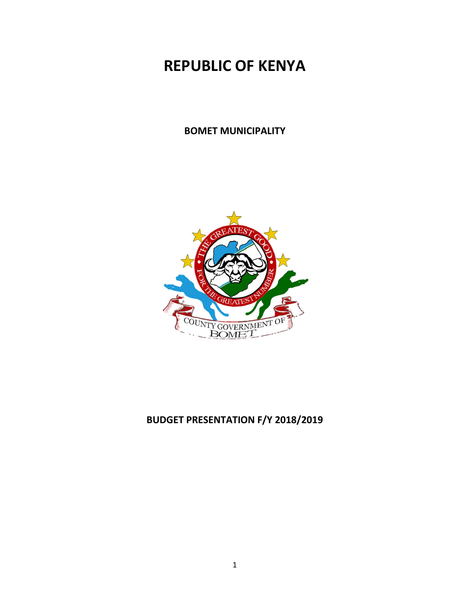# **REPUBLIC OF KENYA**

#### **BOMET MUNICIPALITY**



# **BUDGET PRESENTATION F/Y 2018/2019**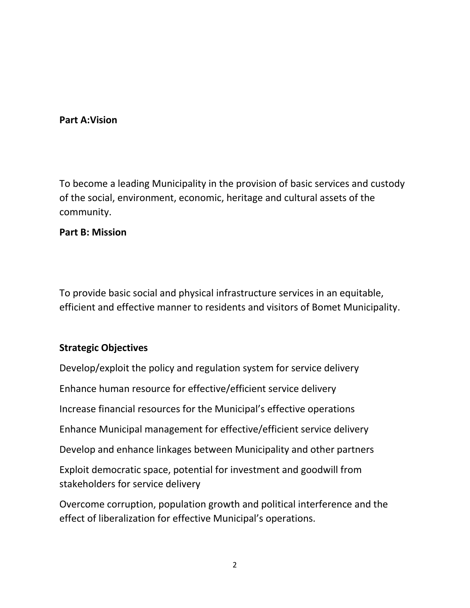## **Part A:Vision**

To become a leading Municipality in the provision of basic services and custody of the social, environment, economic, heritage and cultural assets of the community.

#### **Part B: Mission**

To provide basic social and physical infrastructure services in an equitable, efficient and effective manner to residents and visitors of Bomet Municipality.

## **Strategic Objectives**

Develop/exploit the policy and regulation system for service delivery

Enhance human resource for effective/efficient service delivery

Increase financial resources for the Municipal's effective operations

Enhance Municipal management for effective/efficient service delivery

Develop and enhance linkages between Municipality and other partners

Exploit democratic space, potential for investment and goodwill from stakeholders for service delivery

Overcome corruption, population growth and political interference and the effect of liberalization for effective Municipal's operations.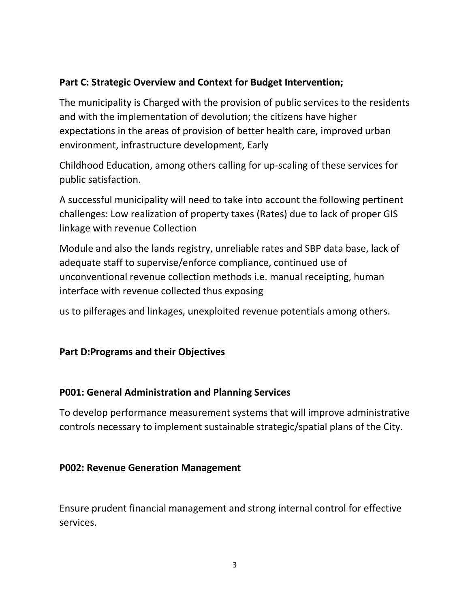# **Part C: Strategic Overview and Context for Budget Intervention;**

The municipality is Charged with the provision of public services to the residents and with the implementation of devolution; the citizens have higher expectations in the areas of provision of better health care, improved urban environment, infrastructure development, Early

Childhood Education, among others calling for up-scaling of these services for public satisfaction.

A successful municipality will need to take into account the following pertinent challenges: Low realization of property taxes (Rates) due to lack of proper GIS linkage with revenue Collection

Module and also the lands registry, unreliable rates and SBP data base, lack of adequate staff to supervise/enforce compliance, continued use of unconventional revenue collection methods i.e. manual receipting, human interface with revenue collected thus exposing

us to pilferages and linkages, unexploited revenue potentials among others.

# **Part D:Programs and their Objectives**

## **P001: General Administration and Planning Services**

To develop performance measurement systems that will improve administrative controls necessary to implement sustainable strategic/spatial plans of the City.

## **P002: Revenue Generation Management**

Ensure prudent financial management and strong internal control for effective services.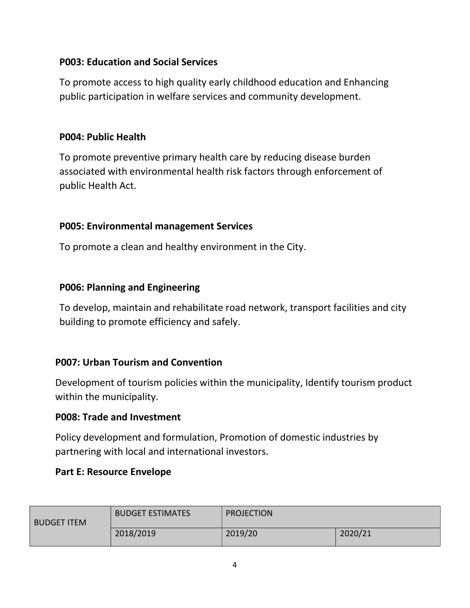# **P003: Education and Social Services**

To promote access to high quality early childhood education and Enhancing public participation in welfare services and community development.

## **P004: Public Health**

To promote preventive primary health care by reducing disease burden associated with environmental health risk factors through enforcement of public Health Act.

# **P005: Environmental management Services**

To promote a clean and healthy environment in the City.

# **P006: Planning and Engineering**

To develop, maintain and rehabilitate road network, transport facilities and city building to promote efficiency and safely.

# **P007: Urban Tourism and Convention**

Development of tourism policies within the municipality, Identify tourism product within the municipality.

## **P008: Trade and Investment**

Policy development and formulation, Promotion of domestic industries by partnering with local and international investors.

## **Part E: Resource Envelope**

| <b>BUDGET ITEM</b> | <b>BUDGET ESTIMATES</b> | <b>PROJECTION</b> |         |
|--------------------|-------------------------|-------------------|---------|
|                    | 2018/2019               | 2019/20           | 2020/21 |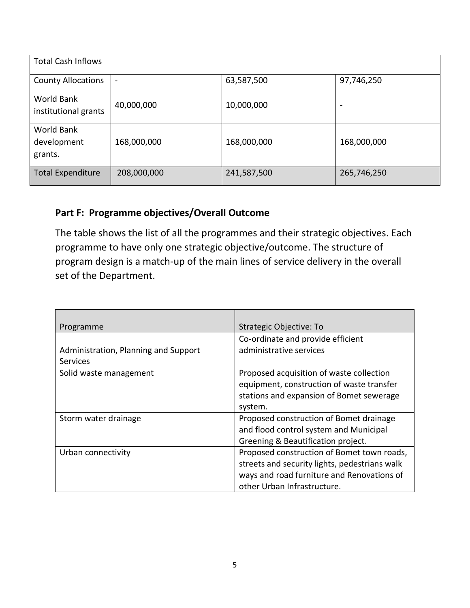| <b>Total Cash Inflows</b>            |                              |             |                          |
|--------------------------------------|------------------------------|-------------|--------------------------|
| <b>County Allocations</b>            | $\qquad \qquad \blacksquare$ | 63,587,500  | 97,746,250               |
| World Bank<br>institutional grants   | 40,000,000                   | 10,000,000  | $\overline{\phantom{0}}$ |
| World Bank<br>development<br>grants. | 168,000,000                  | 168,000,000 | 168,000,000              |
| <b>Total Expenditure</b>             | 208,000,000                  | 241,587,500 | 265,746,250              |

# **Part F: Programme objectives/Overall Outcome**

The table shows the list of all the programmes and their strategic objectives. Each programme to have only one strategic objective/outcome. The structure of program design is a match-up of the main lines of service delivery in the overall set of the Department.

| Programme                            | Strategic Objective: To                       |
|--------------------------------------|-----------------------------------------------|
|                                      | Co-ordinate and provide efficient             |
| Administration, Planning and Support | administrative services                       |
| <b>Services</b>                      |                                               |
| Solid waste management               | Proposed acquisition of waste collection      |
|                                      | equipment, construction of waste transfer     |
|                                      | stations and expansion of Bomet sewerage      |
|                                      | system.                                       |
| Storm water drainage                 | Proposed construction of Bomet drainage       |
|                                      | and flood control system and Municipal        |
|                                      | Greening & Beautification project.            |
| Urban connectivity                   | Proposed construction of Bomet town roads,    |
|                                      | streets and security lights, pedestrians walk |
|                                      | ways and road furniture and Renovations of    |
|                                      | other Urban Infrastructure.                   |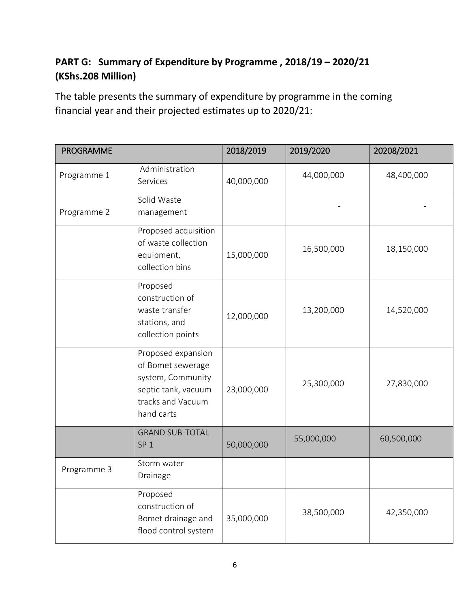# **PART G: Summary of Expenditure by Programme , 2018/19 – 2020/21 (KShs.208 Million)**

The table presents the summary of expenditure by programme in the coming financial year and their projected estimates up to 2020/21:

| <b>PROGRAMME</b> |                                                                                                                        | 2018/2019  | 2019/2020  | 20208/2021 |
|------------------|------------------------------------------------------------------------------------------------------------------------|------------|------------|------------|
| Programme 1      | Administration<br>Services                                                                                             | 40,000,000 | 44,000,000 | 48,400,000 |
| Programme 2      | Solid Waste<br>management                                                                                              |            |            |            |
|                  | Proposed acquisition<br>of waste collection<br>equipment,<br>collection bins                                           | 15,000,000 | 16,500,000 | 18,150,000 |
|                  | Proposed<br>construction of<br>waste transfer<br>stations, and<br>collection points                                    | 12,000,000 | 13,200,000 | 14,520,000 |
|                  | Proposed expansion<br>of Bomet sewerage<br>system, Community<br>septic tank, vacuum<br>tracks and Vacuum<br>hand carts | 23,000,000 | 25,300,000 | 27,830,000 |
|                  | <b>GRAND SUB-TOTAL</b><br>SP <sub>1</sub>                                                                              | 50,000,000 | 55,000,000 | 60,500,000 |
| Programme 3      | Storm water<br>Drainage                                                                                                |            |            |            |
|                  | Proposed<br>construction of<br>Bomet drainage and<br>flood control system                                              | 35,000,000 | 38,500,000 | 42,350,000 |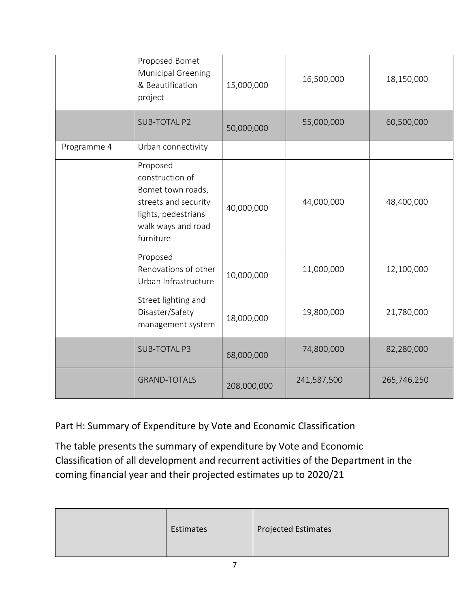|             | Proposed Bomet<br>Municipal Greening<br>& Beautification<br>project                                                                | 15,000,000  | 16,500,000  | 18,150,000  |
|-------------|------------------------------------------------------------------------------------------------------------------------------------|-------------|-------------|-------------|
|             | <b>SUB-TOTAL P2</b>                                                                                                                | 50,000,000  | 55,000,000  | 60,500,000  |
| Programme 4 | Urban connectivity                                                                                                                 |             |             |             |
|             | Proposed<br>construction of<br>Bomet town roads,<br>streets and security<br>lights, pedestrians<br>walk ways and road<br>furniture | 40,000,000  | 44,000,000  | 48,400,000  |
|             | Proposed<br>Renovations of other<br>Urban Infrastructure                                                                           | 10,000,000  | 11,000,000  | 12,100,000  |
|             | Street lighting and<br>Disaster/Safety<br>management system                                                                        | 18,000,000  | 19,800,000  | 21,780,000  |
|             | <b>SUB-TOTAL P3</b>                                                                                                                | 68,000,000  | 74,800,000  | 82,280,000  |
|             | <b>GRAND-TOTALS</b>                                                                                                                | 208,000,000 | 241,587,500 | 265,746,250 |

Part H: Summary of Expenditure by Vote and Economic Classification

The table presents the summary of expenditure by Vote and Economic Classification of all development and recurrent activities of the Department in the coming financial year and their projected estimates up to 2020/21

|  |  | Estimates | <b>Projected Estimates</b> |
|--|--|-----------|----------------------------|
|--|--|-----------|----------------------------|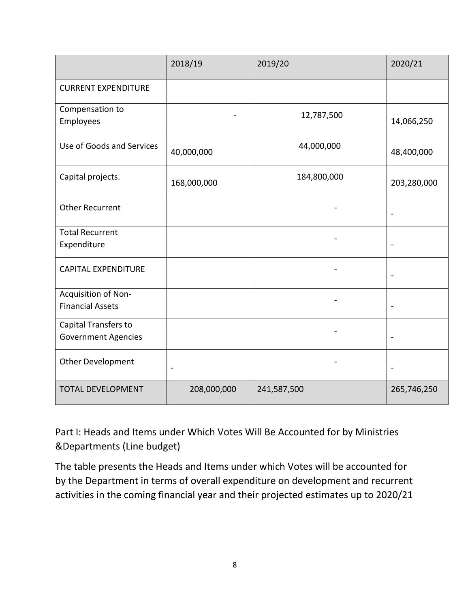|                                                    | 2018/19        | 2019/20     | 2020/21                  |
|----------------------------------------------------|----------------|-------------|--------------------------|
| <b>CURRENT EXPENDITURE</b>                         |                |             |                          |
| Compensation to<br>Employees                       |                | 12,787,500  | 14,066,250               |
| Use of Goods and Services                          | 40,000,000     | 44,000,000  | 48,400,000               |
| Capital projects.                                  | 168,000,000    | 184,800,000 | 203,280,000              |
| <b>Other Recurrent</b>                             |                |             |                          |
| <b>Total Recurrent</b><br>Expenditure              |                |             |                          |
| <b>CAPITAL EXPENDITURE</b>                         |                |             | $\overline{\phantom{a}}$ |
| Acquisition of Non-<br><b>Financial Assets</b>     |                |             | $\overline{\phantom{a}}$ |
| Capital Transfers to<br><b>Government Agencies</b> |                |             |                          |
| Other Development                                  | $\overline{a}$ |             | $\overline{\phantom{a}}$ |
| <b>TOTAL DEVELOPMENT</b>                           | 208,000,000    | 241,587,500 | 265,746,250              |

Part I: Heads and Items under Which Votes Will Be Accounted for by Ministries &Departments (Line budget)

The table presents the Heads and Items under which Votes will be accounted for by the Department in terms of overall expenditure on development and recurrent activities in the coming financial year and their projected estimates up to 2020/21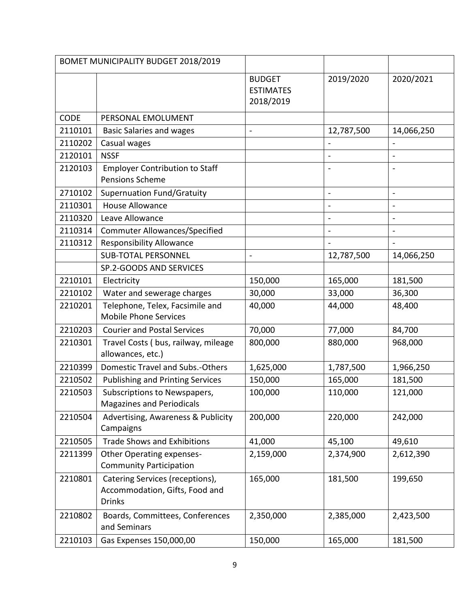|             | BOMET MUNICIPALITY BUDGET 2018/2019                                                |                                                |                          |                          |
|-------------|------------------------------------------------------------------------------------|------------------------------------------------|--------------------------|--------------------------|
|             |                                                                                    | <b>BUDGET</b><br><b>ESTIMATES</b><br>2018/2019 | 2019/2020                | 2020/2021                |
| <b>CODE</b> | PERSONAL EMOLUMENT                                                                 |                                                |                          |                          |
| 2110101     | <b>Basic Salaries and wages</b>                                                    | $\overline{\phantom{a}}$                       | 12,787,500               | 14,066,250               |
| 2110202     | Casual wages                                                                       |                                                |                          |                          |
| 2120101     | <b>NSSF</b>                                                                        |                                                |                          | $\overline{\phantom{a}}$ |
| 2120103     | <b>Employer Contribution to Staff</b><br><b>Pensions Scheme</b>                    |                                                |                          |                          |
| 2710102     | <b>Supernuation Fund/Gratuity</b>                                                  |                                                | $\overline{\phantom{a}}$ | $\overline{\phantom{a}}$ |
| 2110301     | <b>House Allowance</b>                                                             |                                                |                          | $\overline{\phantom{a}}$ |
| 2110320     | Leave Allowance                                                                    |                                                | $\overline{\phantom{a}}$ | $\overline{\phantom{a}}$ |
| 2110314     | <b>Commuter Allowances/Specified</b>                                               |                                                | $\frac{1}{2}$            | $\overline{\phantom{a}}$ |
| 2110312     | <b>Responsibility Allowance</b>                                                    |                                                |                          |                          |
|             | <b>SUB-TOTAL PERSONNEL</b>                                                         | $\blacksquare$                                 | 12,787,500               | 14,066,250               |
|             | SP.2-GOODS AND SERVICES                                                            |                                                |                          |                          |
| 2210101     | Electricity                                                                        | 150,000                                        | 165,000                  | 181,500                  |
| 2210102     | Water and sewerage charges                                                         | 30,000                                         | 33,000                   | 36,300                   |
| 2210201     | Telephone, Telex, Facsimile and<br><b>Mobile Phone Services</b>                    | 40,000                                         | 44,000                   | 48,400                   |
| 2210203     | <b>Courier and Postal Services</b>                                                 | 70,000                                         | 77,000                   | 84,700                   |
| 2210301     | Travel Costs (bus, railway, mileage<br>allowances, etc.)                           | 800,000                                        | 880,000                  | 968,000                  |
| 2210399     | Domestic Travel and Subs.-Others                                                   | 1,625,000                                      | 1,787,500                | 1,966,250                |
| 2210502     | <b>Publishing and Printing Services</b>                                            | 150,000                                        | 165,000                  | 181,500                  |
| 2210503     | Subscriptions to Newspapers,<br><b>Magazines and Periodicals</b>                   | 100,000                                        | 110,000                  | 121,000                  |
| 2210504     | Advertising, Awareness & Publicity<br>Campaigns                                    | 200,000                                        | 220,000                  | 242,000                  |
| 2210505     | <b>Trade Shows and Exhibitions</b>                                                 | 41,000                                         | 45,100                   | 49,610                   |
| 2211399     | <b>Other Operating expenses-</b><br><b>Community Participation</b>                 | 2,159,000                                      | 2,374,900                | 2,612,390                |
| 2210801     | Catering Services (receptions),<br>Accommodation, Gifts, Food and<br><b>Drinks</b> | 165,000                                        | 181,500                  | 199,650                  |
| 2210802     | Boards, Committees, Conferences<br>and Seminars                                    | 2,350,000                                      | 2,385,000                | 2,423,500                |
| 2210103     | Gas Expenses 150,000,00                                                            | 150,000                                        | 165,000                  | 181,500                  |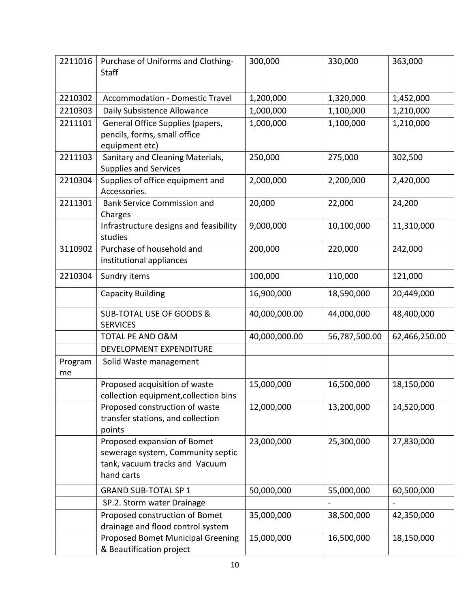| 2211016       | Purchase of Uniforms and Clothing-                               | 300,000       | 330,000       | 363,000       |
|---------------|------------------------------------------------------------------|---------------|---------------|---------------|
|               | <b>Staff</b>                                                     |               |               |               |
|               |                                                                  |               |               |               |
| 2210302       | <b>Accommodation - Domestic Travel</b>                           | 1,200,000     | 1,320,000     | 1,452,000     |
| 2210303       | Daily Subsistence Allowance                                      | 1,000,000     | 1,100,000     | 1,210,000     |
| 2211101       | General Office Supplies (papers,                                 | 1,000,000     | 1,100,000     | 1,210,000     |
|               | pencils, forms, small office                                     |               |               |               |
|               | equipment etc)                                                   |               |               |               |
| 2211103       | Sanitary and Cleaning Materials,<br><b>Supplies and Services</b> | 250,000       | 275,000       | 302,500       |
| 2210304       | Supplies of office equipment and                                 | 2,000,000     | 2,200,000     | 2,420,000     |
|               | Accessories.                                                     |               |               |               |
| 2211301       | <b>Bank Service Commission and</b>                               | 20,000        | 22,000        | 24,200        |
|               | Charges                                                          |               |               |               |
|               | Infrastructure designs and feasibility                           | 9,000,000     | 10,100,000    | 11,310,000    |
|               | studies                                                          |               |               |               |
| 3110902       | Purchase of household and                                        | 200,000       | 220,000       | 242,000       |
|               | institutional appliances                                         |               |               |               |
| 2210304       | Sundry items                                                     | 100,000       | 110,000       | 121,000       |
|               | <b>Capacity Building</b>                                         | 16,900,000    | 18,590,000    | 20,449,000    |
|               | SUB-TOTAL USE OF GOODS &<br><b>SERVICES</b>                      | 40,000,000.00 | 44,000,000    | 48,400,000    |
|               | <b>TOTAL PE AND O&amp;M</b>                                      | 40,000,000.00 | 56,787,500.00 | 62,466,250.00 |
|               | DEVELOPMENT EXPENDITURE                                          |               |               |               |
| Program<br>me | Solid Waste management                                           |               |               |               |
|               | Proposed acquisition of waste                                    | 15,000,000    | 16,500,000    | 18,150,000    |
|               | collection equipment, collection bins                            |               |               |               |
|               | Proposed construction of waste                                   | 12,000,000    | 13,200,000    | 14,520,000    |
|               | transfer stations, and collection                                |               |               |               |
|               | points                                                           |               |               |               |
|               | Proposed expansion of Bomet                                      | 23,000,000    | 25,300,000    | 27,830,000    |
|               | sewerage system, Community septic                                |               |               |               |
|               | tank, vacuum tracks and Vacuum                                   |               |               |               |
|               | hand carts                                                       |               |               |               |
|               | <b>GRAND SUB-TOTAL SP 1</b>                                      | 50,000,000    | 55,000,000    | 60,500,000    |
|               | SP.2. Storm water Drainage                                       |               |               |               |
|               | Proposed construction of Bomet                                   | 35,000,000    | 38,500,000    | 42,350,000    |
|               | drainage and flood control system                                |               |               |               |
|               | Proposed Bomet Municipal Greening<br>& Beautification project    | 15,000,000    | 16,500,000    | 18,150,000    |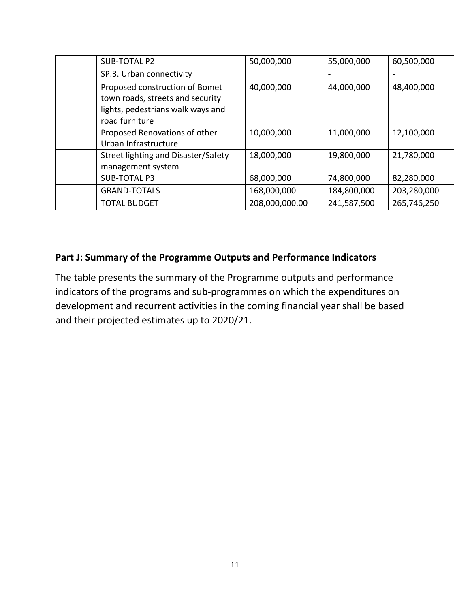| SUB-TOTAL P2                                                                                                              | 50,000,000     | 55,000,000  | 60,500,000  |
|---------------------------------------------------------------------------------------------------------------------------|----------------|-------------|-------------|
| SP.3. Urban connectivity                                                                                                  |                |             |             |
| Proposed construction of Bomet<br>town roads, streets and security<br>lights, pedestrians walk ways and<br>road furniture | 40,000,000     | 44,000,000  | 48,400,000  |
| Proposed Renovations of other<br>Urban Infrastructure                                                                     | 10,000,000     | 11,000,000  | 12,100,000  |
| Street lighting and Disaster/Safety<br>management system                                                                  | 18,000,000     | 19,800,000  | 21,780,000  |
| <b>SUB-TOTAL P3</b>                                                                                                       | 68,000,000     | 74,800,000  | 82,280,000  |
| <b>GRAND-TOTALS</b>                                                                                                       | 168,000,000    | 184,800,000 | 203,280,000 |
| <b>TOTAL BUDGET</b>                                                                                                       | 208,000,000.00 | 241,587,500 | 265,746,250 |

#### **Part J: Summary of the Programme Outputs and Performance Indicators**

The table presents the summary of the Programme outputs and performance indicators of the programs and sub-programmes on which the expenditures on development and recurrent activities in the coming financial year shall be based and their projected estimates up to 2020/21.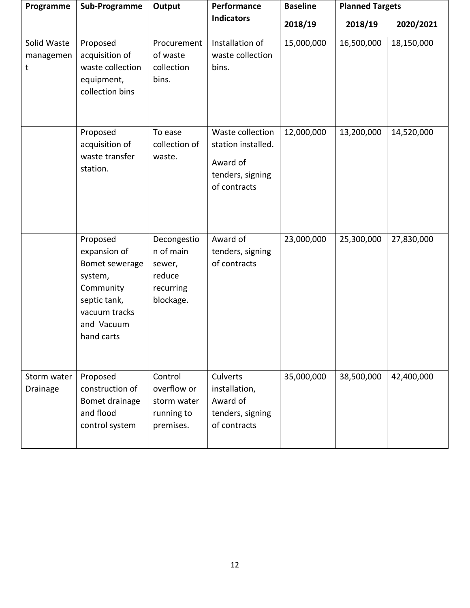| Programme                     | Sub-Programme                                                                                                                   | Output                                                                 | Performance                                                                            | <b>Baseline</b> | <b>Planned Targets</b> |            |
|-------------------------------|---------------------------------------------------------------------------------------------------------------------------------|------------------------------------------------------------------------|----------------------------------------------------------------------------------------|-----------------|------------------------|------------|
|                               |                                                                                                                                 |                                                                        | <b>Indicators</b>                                                                      | 2018/19         | 2018/19                | 2020/2021  |
| Solid Waste<br>managemen<br>t | Proposed<br>acquisition of<br>waste collection<br>equipment,<br>collection bins                                                 | Procurement<br>of waste<br>collection<br>bins.                         | Installation of<br>waste collection<br>bins.                                           | 15,000,000      | 16,500,000             | 18,150,000 |
|                               | Proposed<br>acquisition of<br>waste transfer<br>station.                                                                        | To ease<br>collection of<br>waste.                                     | Waste collection<br>station installed.<br>Award of<br>tenders, signing<br>of contracts | 12,000,000      | 13,200,000             | 14,520,000 |
|                               | Proposed<br>expansion of<br>Bomet sewerage<br>system,<br>Community<br>septic tank,<br>vacuum tracks<br>and Vacuum<br>hand carts | Decongestio<br>n of main<br>sewer,<br>reduce<br>recurring<br>blockage. | Award of<br>tenders, signing<br>of contracts                                           | 23,000,000      | 25,300,000             | 27,830,000 |
| Storm water<br>Drainage       | Proposed<br>construction of<br>Bomet drainage<br>and flood<br>control system                                                    | Control<br>overflow or<br>storm water<br>running to<br>premises.       | Culverts<br>installation,<br>Award of<br>tenders, signing<br>of contracts              | 35,000,000      | 38,500,000             | 42,400,000 |